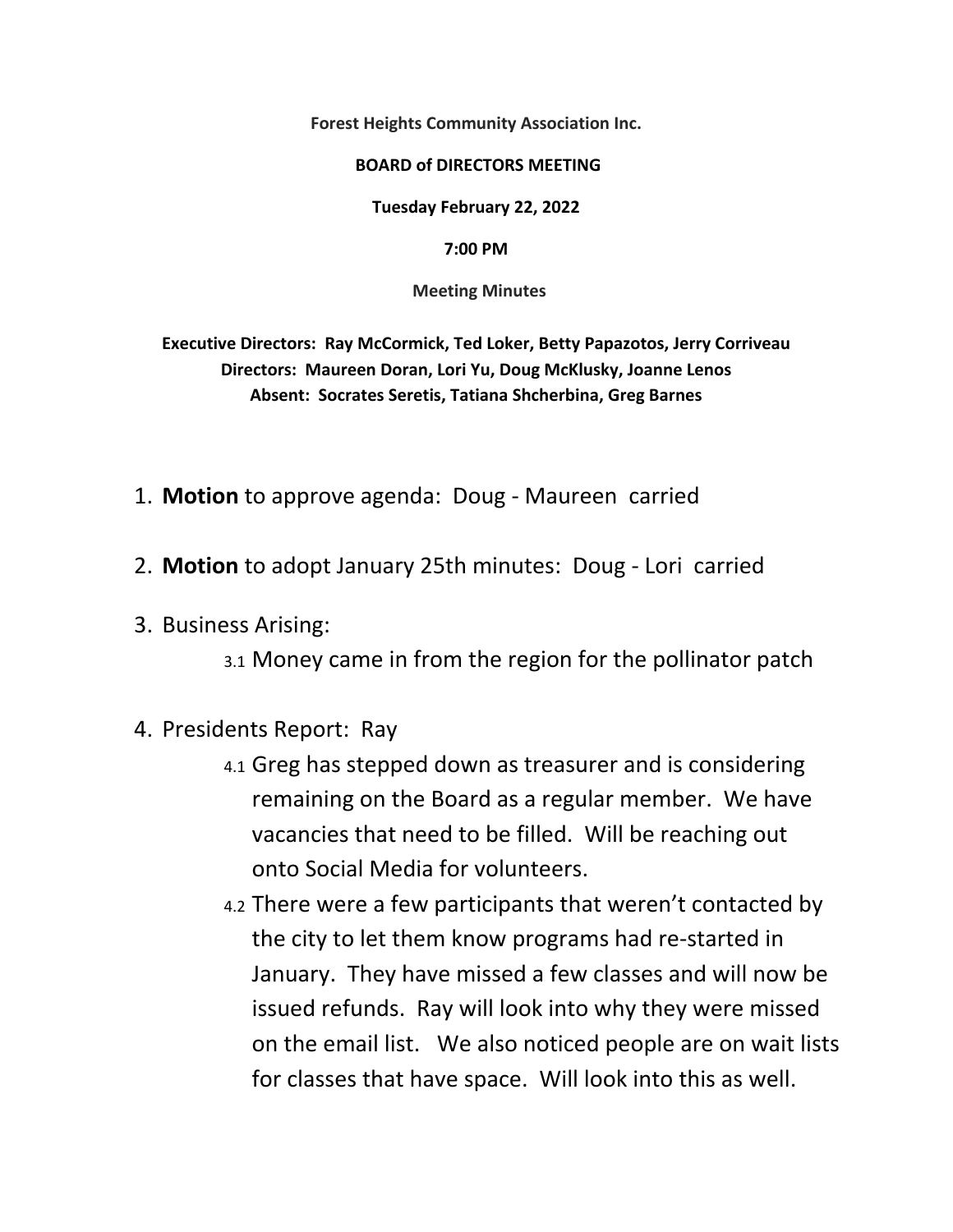**Forest Heights Community Association Inc.** 

## **BOARD of DIRECTORS MEETING**

**Tuesday February 22, 2022** 

**7:00 PM**

 **Meeting Minutes** 

**Executive Directors: Ray McCormick, Ted Loker, Betty Papazotos, Jerry Corriveau Directors: Maureen Doran, Lori Yu, Doug McKlusky, Joanne Lenos Absent: Socrates Seretis, Tatiana Shcherbina, Greg Barnes** 

- 1. **Motion** to approve agenda: Doug ‐ Maureen carried
- 2. **Motion** to adopt January 25th minutes: Doug ‐ Lori carried
- 3. Business Arising:
	- 3.1 Money came in from the region for the pollinator patch
- 4. Presidents Report: Ray
	- 4.1 Greg has stepped down as treasurer and is considering remaining on the Board as a regular member. We have vacancies that need to be filled. Will be reaching out onto Social Media for volunteers.
	- 4.2 There were a few participants that weren't contacted by the city to let them know programs had re‐started in January. They have missed a few classes and will now be issued refunds. Ray will look into why they were missed on the email list. We also noticed people are on wait lists for classes that have space. Will look into this as well.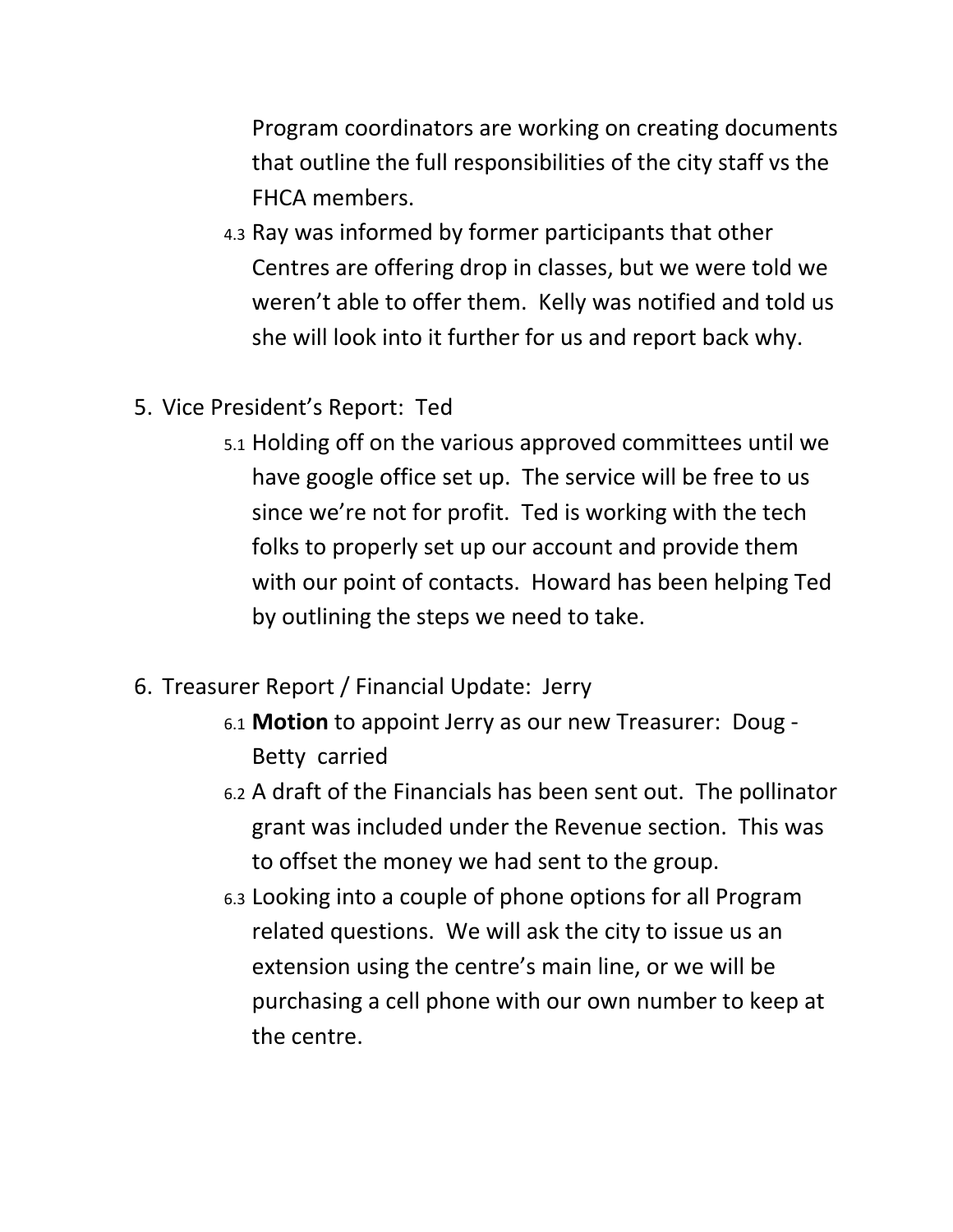Program coordinators are working on creating documents that outline the full responsibilities of the city staff vs the FHCA members.

- 4.3 Ray was informed by former participants that other Centres are offering drop in classes, but we were told we weren't able to offer them. Kelly was notified and told us she will look into it further for us and report back why.
- 5. Vice President's Report: Ted
	- 5.1 Holding off on the various approved committees until we have google office set up. The service will be free to us since we're not for profit. Ted is working with the tech folks to properly set up our account and provide them with our point of contacts. Howard has been helping Ted by outlining the steps we need to take.
- 6. Treasurer Report / Financial Update: Jerry
	- 6.1 **Motion** to appoint Jerry as our new Treasurer: Doug ‐ Betty carried
	- 6.2 A draft of the Financials has been sent out. The pollinator grant was included under the Revenue section. This was to offset the money we had sent to the group.
	- 6.3 Looking into a couple of phone options for all Program related questions. We will ask the city to issue us an extension using the centre's main line, or we will be purchasing a cell phone with our own number to keep at the centre.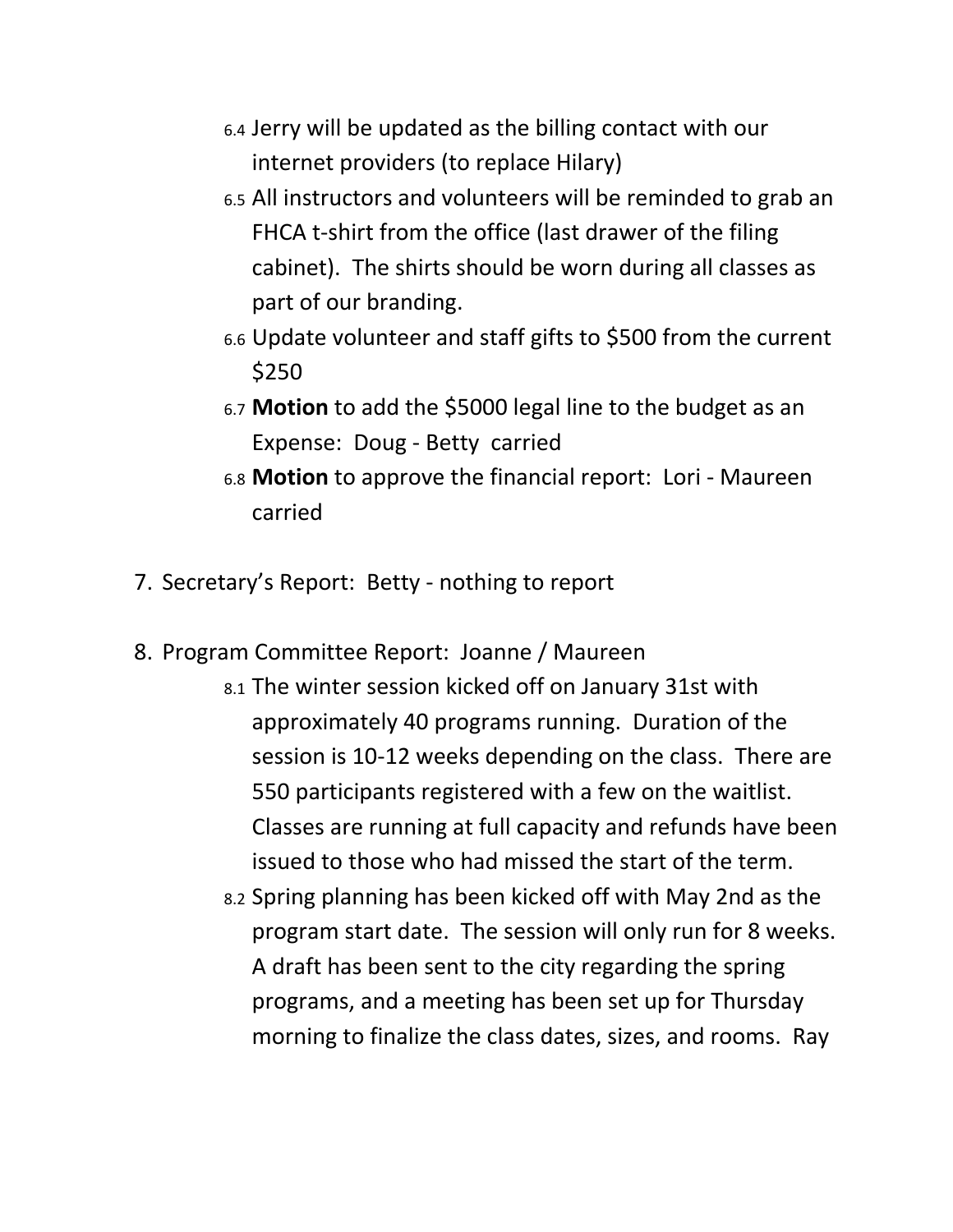- 6.4 Jerry will be updated as the billing contact with our internet providers (to replace Hilary)
- 6.5 All instructors and volunteers will be reminded to grab an FHCA t-shirt from the office (last drawer of the filing cabinet). The shirts should be worn during all classes as part of our branding.
- 6.6 Update volunteer and staff gifts to \$500 from the current \$250
- 6.7 **Motion** to add the \$5000 legal line to the budget as an Expense: Doug ‐ Betty carried
- 6.8 **Motion** to approve the financial report: Lori ‐ Maureen carried
- 7. Secretary's Report: Betty ‐ nothing to report
- 8. Program Committee Report: Joanne / Maureen
	- 8.1 The winter session kicked off on January 31st with approximately 40 programs running. Duration of the session is 10‐12 weeks depending on the class. There are 550 participants registered with a few on the waitlist. Classes are running at full capacity and refunds have been issued to those who had missed the start of the term.
	- 8.2 Spring planning has been kicked off with May 2nd as the program start date. The session will only run for 8 weeks. A draft has been sent to the city regarding the spring programs, and a meeting has been set up for Thursday morning to finalize the class dates, sizes, and rooms. Ray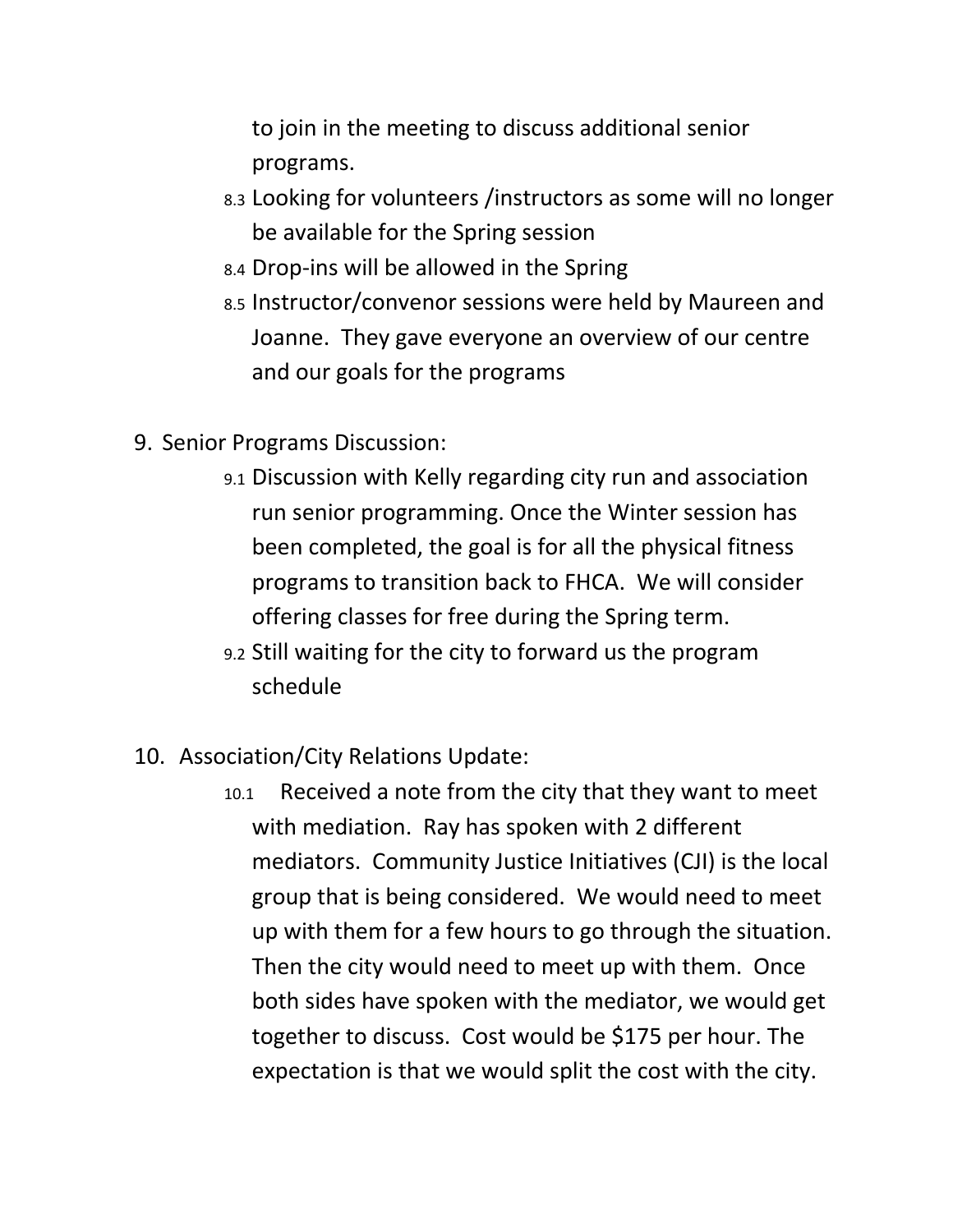to join in the meeting to discuss additional senior programs.

- 8.3 Looking for volunteers /instructors as some will no longer be available for the Spring session
- 8.4 Drop‐ins will be allowed in the Spring
- 8.5 Instructor/convenor sessions were held by Maureen and Joanne. They gave everyone an overview of our centre and our goals for the programs
- 9. Senior Programs Discussion:
	- 9.1 Discussion with Kelly regarding city run and association run senior programming. Once the Winter session has been completed, the goal is for all the physical fitness programs to transition back to FHCA. We will consider offering classes for free during the Spring term.
	- 9.2 Still waiting for the city to forward us the program schedule
- 10. Association/City Relations Update:
	- 10.1 Received a note from the city that they want to meet with mediation. Ray has spoken with 2 different mediators. Community Justice Initiatives (CJI) is the local group that is being considered. We would need to meet up with them for a few hours to go through the situation. Then the city would need to meet up with them. Once both sides have spoken with the mediator, we would get together to discuss. Cost would be \$175 per hour. The expectation is that we would split the cost with the city.